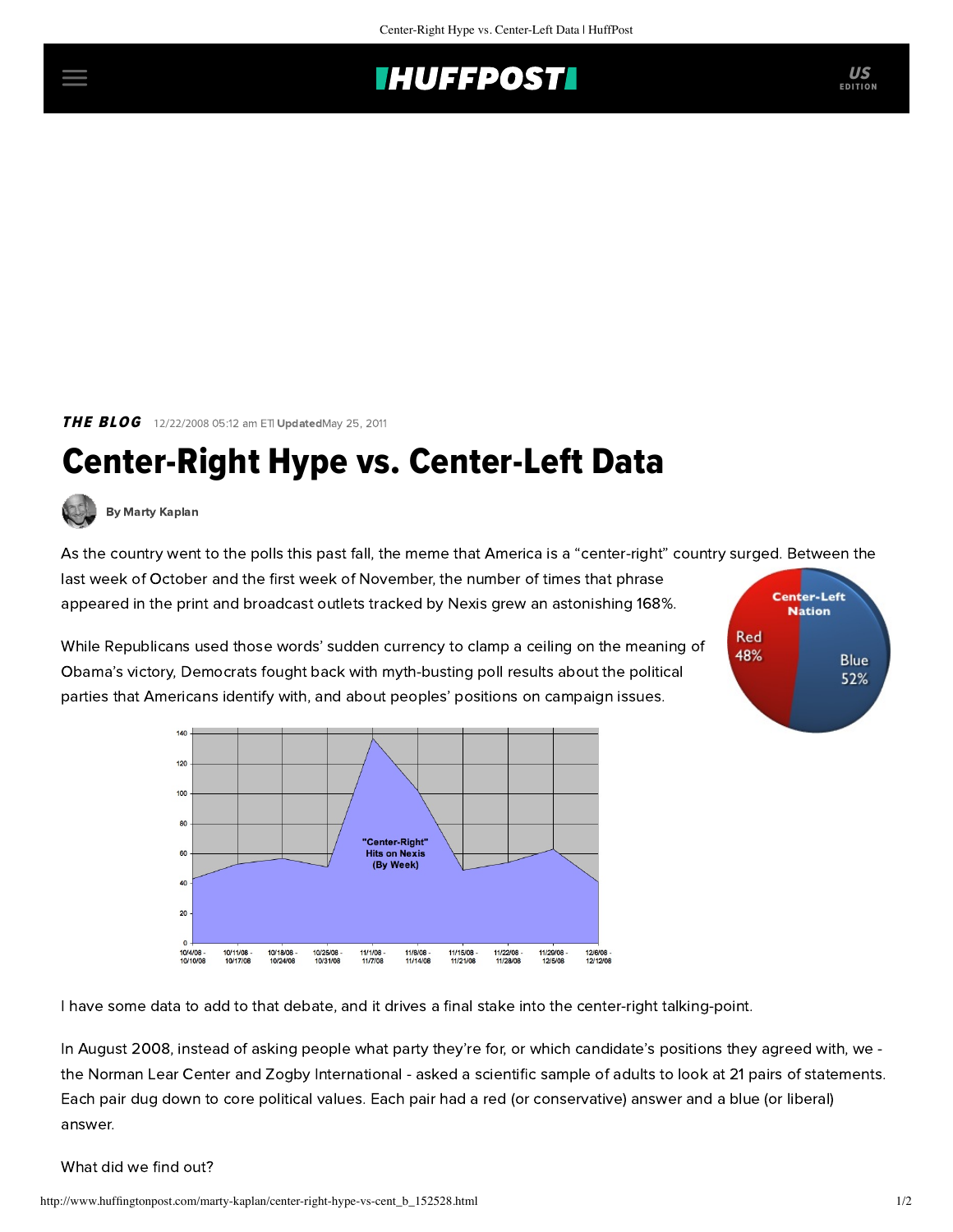## **INUFFPOSTI** US

**THE BLOG** 12/22/2008 05:12 am ETI UpdatedMay 25, 2011

## Center-Right Hype vs. Center-Left Data

[By Marty Kaplan](http://www.huffingtonpost.com/author/marty-kaplan)

As the country went to the polls this past fall, the meme that America is a "center-right" country surged. Between the

last week of October and the first week of November, the number of times that phrase appeared in the print and broadcast outlets tracked by Nexis grew an astonishing 168%.

While Republicans used those words' sudden currency to clamp a ceiling on the meaning of Obama's victory, Democrats fought back with myth-busting poll results about the political parties that Americans identify with, and about peoples' positions on campaign issues.





I have some [data](http://www.learcenter.org/html/projects/?cm=zogby/centerleft) to add to that debate, and it drives a final stake into the center-right talking-point.

In [August 2008](http://www.learcenter.org/html/projects/?cm=zogby/08), instead of asking people what party they're for, or which candidate's positions they agreed with, we the [Norman Lear Center](http://www.learcenter.org/) and Zogby International - asked a scientific sample of adults to look at 21 pairs of statements. Each pair dug down to core political values. Each pair had a red (or conservative) answer and a blue (or liberal) answer.

What did we find out?